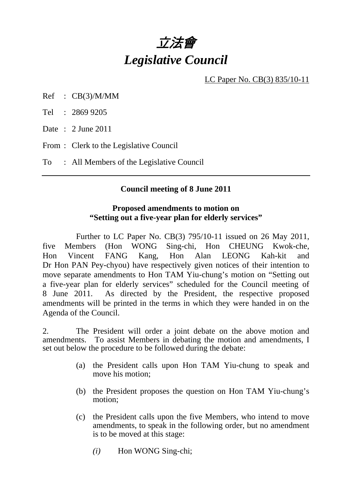

LC Paper No. CB(3) 835/10-11

Ref : CB(3)/M/MM

Tel : 2869 9205

Date : 2 June 2011

From : Clerk to the Legislative Council

To : All Members of the Legislative Council

#### **Council meeting of 8 June 2011**

### **Proposed amendments to motion on "Setting out a five-year plan for elderly services"**

 Further to LC Paper No. CB(3) 795/10-11 issued on 26 May 2011, five Members (Hon WONG Sing-chi, Hon CHEUNG Kwok-che, Hon Vincent FANG Kang, Hon Alan LEONG Kah-kit and Dr Hon PAN Pey-chyou) have respectively given notices of their intention to move separate amendments to Hon TAM Yiu-chung's motion on "Setting out a five-year plan for elderly services" scheduled for the Council meeting of 8 June 2011. As directed by the President, the respective proposed amendments will be printed in the terms in which they were handed in on the Agenda of the Council.

2. The President will order a joint debate on the above motion and amendments. To assist Members in debating the motion and amendments, I set out below the procedure to be followed during the debate:

- (a) the President calls upon Hon TAM Yiu-chung to speak and move his motion;
- (b) the President proposes the question on Hon TAM Yiu-chung's motion;
- (c) the President calls upon the five Members, who intend to move amendments, to speak in the following order, but no amendment is to be moved at this stage:
	- *(i)* Hon WONG Sing-chi;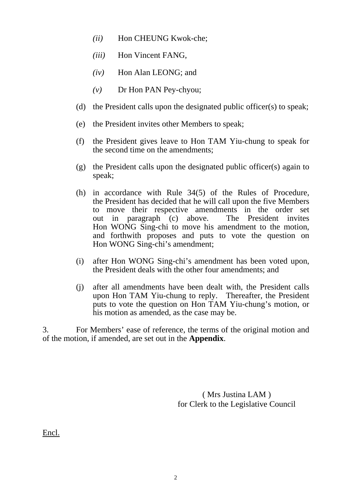- *(ii)* Hon CHEUNG Kwok-che;
- *(iii)* Hon Vincent FANG,
- *(iv)* Hon Alan LEONG; and
- *(v)* Dr Hon PAN Pey-chyou;
- (d) the President calls upon the designated public officer(s) to speak;
- (e) the President invites other Members to speak;
- (f) the President gives leave to Hon TAM Yiu-chung to speak for the second time on the amendments;
- (g) the President calls upon the designated public officer(s) again to speak;
- (h) in accordance with Rule 34(5) of the Rules of Procedure, the President has decided that he will call upon the five Members to move their respective amendments in the order set out in paragraph (c) above. The President invites Hon WONG Sing-chi to move his amendment to the motion, and forthwith proposes and puts to vote the question on Hon WONG Sing-chi's amendment;
- (i) after Hon WONG Sing-chi's amendment has been voted upon, the President deals with the other four amendments; and
- (j) after all amendments have been dealt with, the President calls upon Hon TAM Yiu-chung to reply. Thereafter, the President puts to vote the question on Hon TAM Yiu-chung's motion, or his motion as amended, as the case may be.

3. For Members' ease of reference, the terms of the original motion and of the motion, if amended, are set out in the **Appendix**.

> ( Mrs Justina LAM ) for Clerk to the Legislative Council

Encl.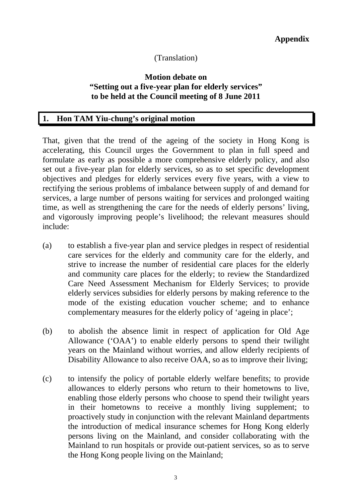# (Translation)

### **Motion debate on "Setting out a five-year plan for elderly services" to be held at the Council meeting of 8 June 2011**

### **1. Hon TAM Yiu-chung's original motion**

That, given that the trend of the ageing of the society in Hong Kong is accelerating, this Council urges the Government to plan in full speed and formulate as early as possible a more comprehensive elderly policy, and also set out a five-year plan for elderly services, so as to set specific development objectives and pledges for elderly services every five years, with a view to rectifying the serious problems of imbalance between supply of and demand for services, a large number of persons waiting for services and prolonged waiting time, as well as strengthening the care for the needs of elderly persons' living, and vigorously improving people's livelihood; the relevant measures should include:

- (a) to establish a five-year plan and service pledges in respect of residential care services for the elderly and community care for the elderly, and strive to increase the number of residential care places for the elderly and community care places for the elderly; to review the Standardized Care Need Assessment Mechanism for Elderly Services; to provide elderly services subsidies for elderly persons by making reference to the mode of the existing education voucher scheme; and to enhance complementary measures for the elderly policy of 'ageing in place';
- (b) to abolish the absence limit in respect of application for Old Age Allowance ('OAA') to enable elderly persons to spend their twilight years on the Mainland without worries, and allow elderly recipients of Disability Allowance to also receive OAA, so as to improve their living;
- (c) to intensify the policy of portable elderly welfare benefits; to provide allowances to elderly persons who return to their hometowns to live, enabling those elderly persons who choose to spend their twilight years in their hometowns to receive a monthly living supplement; to proactively study in conjunction with the relevant Mainland departments the introduction of medical insurance schemes for Hong Kong elderly persons living on the Mainland, and consider collaborating with the Mainland to run hospitals or provide out-patient services, so as to serve the Hong Kong people living on the Mainland;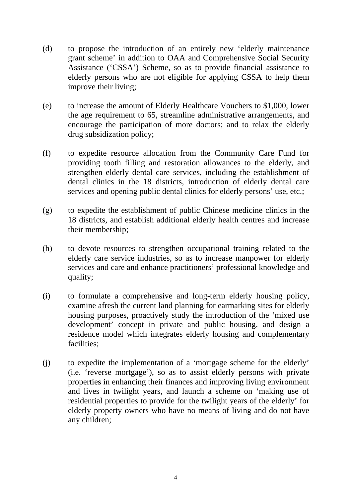- (d) to propose the introduction of an entirely new 'elderly maintenance grant scheme' in addition to OAA and Comprehensive Social Security Assistance ('CSSA') Scheme, so as to provide financial assistance to elderly persons who are not eligible for applying CSSA to help them improve their living;
- (e) to increase the amount of Elderly Healthcare Vouchers to \$1,000, lower the age requirement to 65, streamline administrative arrangements, and encourage the participation of more doctors; and to relax the elderly drug subsidization policy;
- (f) to expedite resource allocation from the Community Care Fund for providing tooth filling and restoration allowances to the elderly, and strengthen elderly dental care services, including the establishment of dental clinics in the 18 districts, introduction of elderly dental care services and opening public dental clinics for elderly persons' use, etc.;
- (g) to expedite the establishment of public Chinese medicine clinics in the 18 districts, and establish additional elderly health centres and increase their membership;
- (h) to devote resources to strengthen occupational training related to the elderly care service industries, so as to increase manpower for elderly services and care and enhance practitioners' professional knowledge and quality;
- (i) to formulate a comprehensive and long-term elderly housing policy, examine afresh the current land planning for earmarking sites for elderly housing purposes, proactively study the introduction of the 'mixed use development' concept in private and public housing, and design a residence model which integrates elderly housing and complementary facilities;
- (j) to expedite the implementation of a 'mortgage scheme for the elderly' (i.e. 'reverse mortgage'), so as to assist elderly persons with private properties in enhancing their finances and improving living environment and lives in twilight years, and launch a scheme on 'making use of residential properties to provide for the twilight years of the elderly' for elderly property owners who have no means of living and do not have any children;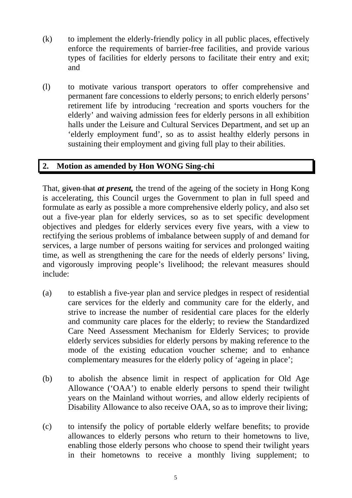- $(k)$  to implement the elderly-friendly policy in all public places, effectively enforce the requirements of barrier-free facilities, and provide various types of facilities for elderly persons to facilitate their entry and exit; and
- (l) to motivate various transport operators to offer comprehensive and permanent fare concessions to elderly persons; to enrich elderly persons' retirement life by introducing 'recreation and sports vouchers for the elderly' and waiving admission fees for elderly persons in all exhibition halls under the Leisure and Cultural Services Department, and set up an 'elderly employment fund', so as to assist healthy elderly persons in sustaining their employment and giving full play to their abilities.

## **2. Motion as amended by Hon WONG Sing-chi**

That, given that *at present,* the trend of the ageing of the society in Hong Kong is accelerating, this Council urges the Government to plan in full speed and formulate as early as possible a more comprehensive elderly policy, and also set out a five-year plan for elderly services, so as to set specific development objectives and pledges for elderly services every five years, with a view to rectifying the serious problems of imbalance between supply of and demand for services, a large number of persons waiting for services and prolonged waiting time, as well as strengthening the care for the needs of elderly persons' living, and vigorously improving people's livelihood; the relevant measures should include:

- (a) to establish a five-year plan and service pledges in respect of residential care services for the elderly and community care for the elderly, and strive to increase the number of residential care places for the elderly and community care places for the elderly; to review the Standardized Care Need Assessment Mechanism for Elderly Services; to provide elderly services subsidies for elderly persons by making reference to the mode of the existing education voucher scheme; and to enhance complementary measures for the elderly policy of 'ageing in place';
- (b) to abolish the absence limit in respect of application for Old Age Allowance ('OAA') to enable elderly persons to spend their twilight years on the Mainland without worries, and allow elderly recipients of Disability Allowance to also receive OAA, so as to improve their living;
- (c) to intensify the policy of portable elderly welfare benefits; to provide allowances to elderly persons who return to their hometowns to live, enabling those elderly persons who choose to spend their twilight years in their hometowns to receive a monthly living supplement; to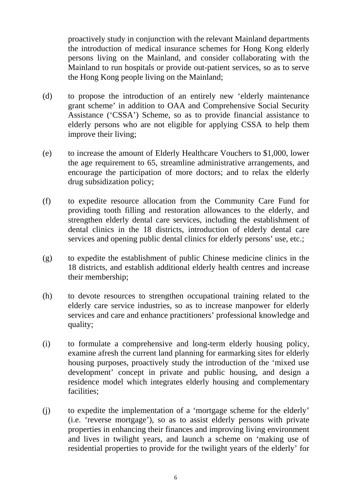proactively study in conjunction with the relevant Mainland departments the introduction of medical insurance schemes for Hong Kong elderly persons living on the Mainland, and consider collaborating with the Mainland to run hospitals or provide out-patient services, so as to serve the Hong Kong people living on the Mainland;

- (d) to propose the introduction of an entirely new 'elderly maintenance grant scheme' in addition to OAA and Comprehensive Social Security Assistance ('CSSA') Scheme, so as to provide financial assistance to elderly persons who are not eligible for applying CSSA to help them improve their living;
- (e) to increase the amount of Elderly Healthcare Vouchers to \$1,000, lower the age requirement to 65, streamline administrative arrangements, and encourage the participation of more doctors; and to relax the elderly drug subsidization policy;
- (f) to expedite resource allocation from the Community Care Fund for providing tooth filling and restoration allowances to the elderly, and strengthen elderly dental care services, including the establishment of dental clinics in the 18 districts, introduction of elderly dental care services and opening public dental clinics for elderly persons' use, etc.;
- (g) to expedite the establishment of public Chinese medicine clinics in the 18 districts, and establish additional elderly health centres and increase their membership;
- (h) to devote resources to strengthen occupational training related to the elderly care service industries, so as to increase manpower for elderly services and care and enhance practitioners' professional knowledge and quality;
- (i) to formulate a comprehensive and long-term elderly housing policy, examine afresh the current land planning for earmarking sites for elderly housing purposes, proactively study the introduction of the 'mixed use development' concept in private and public housing, and design a residence model which integrates elderly housing and complementary facilities;
- (j) to expedite the implementation of a 'mortgage scheme for the elderly' (i.e. 'reverse mortgage'), so as to assist elderly persons with private properties in enhancing their finances and improving living environment and lives in twilight years, and launch a scheme on 'making use of residential properties to provide for the twilight years of the elderly' for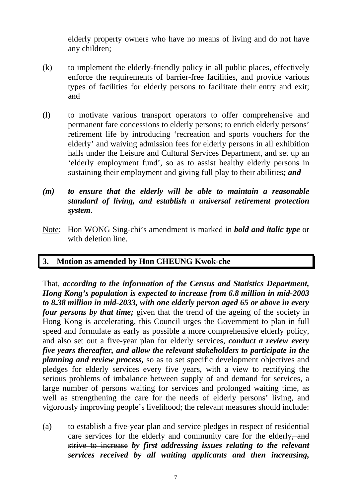elderly property owners who have no means of living and do not have any children;

- (k) to implement the elderly-friendly policy in all public places, effectively enforce the requirements of barrier-free facilities, and provide various types of facilities for elderly persons to facilitate their entry and exit; and
- (l) to motivate various transport operators to offer comprehensive and permanent fare concessions to elderly persons; to enrich elderly persons' retirement life by introducing 'recreation and sports vouchers for the elderly' and waiving admission fees for elderly persons in all exhibition halls under the Leisure and Cultural Services Department, and set up an 'elderly employment fund', so as to assist healthy elderly persons in sustaining their employment and giving full play to their abilities*; and*
- *(m) to ensure that the elderly will be able to maintain a reasonable standard of living, and establish a universal retirement protection system*.
- Note: Hon WONG Sing-chi's amendment is marked in *bold and italic type* or with deletion line.

# **3. Motion as amended by Hon CHEUNG Kwok-che**

That, *according to the information of the Census and Statistics Department, Hong Kong's population is expected to increase from 6.8 million in mid-2003 to 8.38 million in mid-2033, with one elderly person aged 65 or above in every four persons by that time;* given that the trend of the ageing of the society in Hong Kong is accelerating, this Council urges the Government to plan in full speed and formulate as early as possible a more comprehensive elderly policy, and also set out a five-year plan for elderly services, *conduct a review every five years thereafter, and allow the relevant stakeholders to participate in the planning and review process,* so as to set specific development objectives and pledges for elderly services every five years, with a view to rectifying the serious problems of imbalance between supply of and demand for services, a large number of persons waiting for services and prolonged waiting time, as well as strengthening the care for the needs of elderly persons' living, and vigorously improving people's livelihood; the relevant measures should include:

(a) to establish a five-year plan and service pledges in respect of residential care services for the elderly and community care for the elderly, and strive to increase *by first addressing issues relating to the relevant services received by all waiting applicants and then increasing,*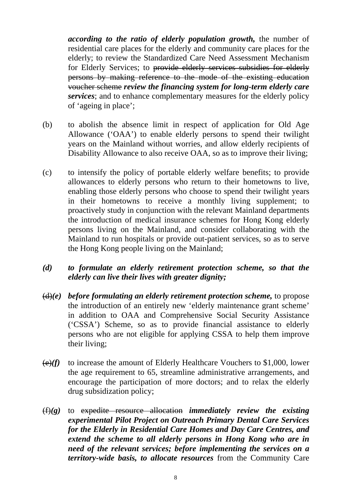*according to the ratio of elderly population growth,* the number of residential care places for the elderly and community care places for the elderly; to review the Standardized Care Need Assessment Mechanism for Elderly Services; to provide elderly services subsidies for elderly persons by making reference to the mode of the existing education voucher scheme *review the financing system for long-term elderly care services*; and to enhance complementary measures for the elderly policy of 'ageing in place';

- (b) to abolish the absence limit in respect of application for Old Age Allowance ('OAA') to enable elderly persons to spend their twilight years on the Mainland without worries, and allow elderly recipients of Disability Allowance to also receive OAA, so as to improve their living;
- (c) to intensify the policy of portable elderly welfare benefits; to provide allowances to elderly persons who return to their hometowns to live, enabling those elderly persons who choose to spend their twilight years in their hometowns to receive a monthly living supplement; to proactively study in conjunction with the relevant Mainland departments the introduction of medical insurance schemes for Hong Kong elderly persons living on the Mainland, and consider collaborating with the Mainland to run hospitals or provide out-patient services, so as to serve the Hong Kong people living on the Mainland;

#### *(d) to formulate an elderly retirement protection scheme, so that the elderly can live their lives with greater dignity;*

- (d)*(e) before formulating an elderly retirement protection scheme,* to propose the introduction of an entirely new 'elderly maintenance grant scheme' in addition to OAA and Comprehensive Social Security Assistance ('CSSA') Scheme, so as to provide financial assistance to elderly persons who are not eligible for applying CSSA to help them improve their living;
- (e)*(f)* to increase the amount of Elderly Healthcare Vouchers to \$1,000, lower the age requirement to 65, streamline administrative arrangements, and encourage the participation of more doctors; and to relax the elderly drug subsidization policy;
- (f)*(g)* to expedite resource allocation *immediately review the existing experimental Pilot Project on Outreach Primary Dental Care Services for the Elderly in Residential Care Homes and Day Care Centres, and extend the scheme to all elderly persons in Hong Kong who are in need of the relevant services; before implementing the services on a territory-wide basis, to allocate resources* from the Community Care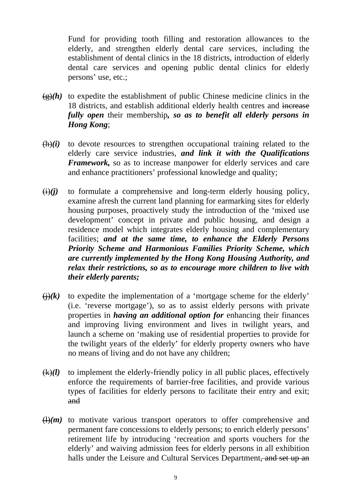Fund for providing tooth filling and restoration allowances to the elderly, and strengthen elderly dental care services, including the establishment of dental clinics in the 18 districts, introduction of elderly dental care services and opening public dental clinics for elderly persons' use, etc.;

- $\left(\frac{g}{g}\right)$  to expedite the establishment of public Chinese medicine clinics in the 18 districts, and establish additional elderly health centres and increase *fully open* their membership*, so as to benefit all elderly persons in Hong Kong*;
- $(h)(i)$  to devote resources to strengthen occupational training related to the elderly care service industries, *and link it with the Qualifications Framework,* so as to increase manpower for elderly services and care and enhance practitioners' professional knowledge and quality;
- $\overrightarrow{(i)}$  to formulate a comprehensive and long-term elderly housing policy, examine afresh the current land planning for earmarking sites for elderly housing purposes, proactively study the introduction of the 'mixed use development' concept in private and public housing, and design a residence model which integrates elderly housing and complementary facilities; *and at the same time, to enhance the Elderly Persons Priority Scheme and Harmonious Families Priority Scheme, which are currently implemented by the Hong Kong Housing Authority, and relax their restrictions, so as to encourage more children to live with their elderly parents;*
- $\overrightarrow{()}$  to expedite the implementation of a 'mortgage scheme for the elderly' (i.e. 'reverse mortgage'), so as to assist elderly persons with private properties in *having an additional option for* enhancing their finances and improving living environment and lives in twilight years, and launch a scheme on 'making use of residential properties to provide for the twilight years of the elderly' for elderly property owners who have no means of living and do not have any children;
- $(k)(l)$  to implement the elderly-friendly policy in all public places, effectively enforce the requirements of barrier-free facilities, and provide various types of facilities for elderly persons to facilitate their entry and exit; and
- $\left(\frac{1}{m}\right)$  to motivate various transport operators to offer comprehensive and permanent fare concessions to elderly persons; to enrich elderly persons' retirement life by introducing 'recreation and sports vouchers for the elderly' and waiving admission fees for elderly persons in all exhibition halls under the Leisure and Cultural Services Department, and set up an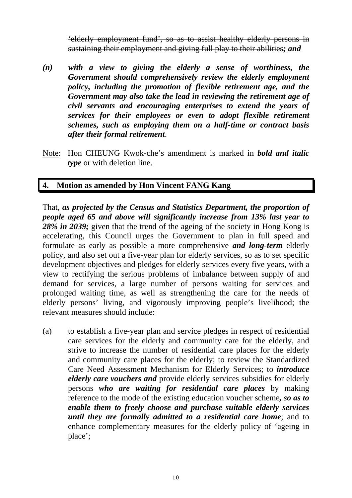'elderly employment fund', so as to assist healthy elderly persons in sustaining their employment and giving full play to their abilities*; and*

- *(n) with a view to giving the elderly a sense of worthiness, the Government should comprehensively review the elderly employment policy, including the promotion of flexible retirement age, and the Government may also take the lead in reviewing the retirement age of civil servants and encouraging enterprises to extend the years of services for their employees or even to adopt flexible retirement schemes, such as employing them on a half-time or contract basis after their formal retirement*.
- Note: Hon CHEUNG Kwok-che's amendment is marked in *bold and italic type* or with deletion line.

# **4. Motion as amended by Hon Vincent FANG Kang**

That, *as projected by the Census and Statistics Department, the proportion of people aged 65 and above will significantly increase from 13% last year to 28% in 2039;* given that the trend of the ageing of the society in Hong Kong is accelerating, this Council urges the Government to plan in full speed and formulate as early as possible a more comprehensive *and long-term* elderly policy, and also set out a five-year plan for elderly services, so as to set specific development objectives and pledges for elderly services every five years, with a view to rectifying the serious problems of imbalance between supply of and demand for services, a large number of persons waiting for services and prolonged waiting time, as well as strengthening the care for the needs of elderly persons' living, and vigorously improving people's livelihood; the relevant measures should include:

(a) to establish a five-year plan and service pledges in respect of residential care services for the elderly and community care for the elderly, and strive to increase the number of residential care places for the elderly and community care places for the elderly; to review the Standardized Care Need Assessment Mechanism for Elderly Services; to *introduce elderly care vouchers and* provide elderly services subsidies for elderly persons *who are waiting for residential care places* by making reference to the mode of the existing education voucher scheme*, so as to enable them to freely choose and purchase suitable elderly services until they are formally admitted to a residential care home*; and to enhance complementary measures for the elderly policy of 'ageing in place';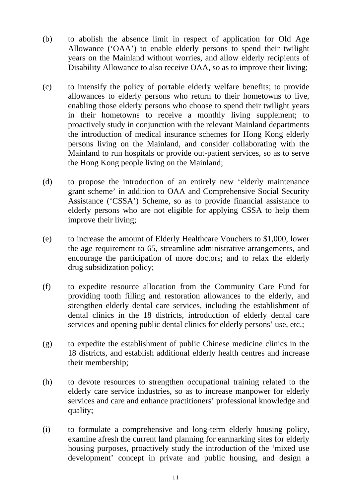- (b) to abolish the absence limit in respect of application for Old Age Allowance ('OAA') to enable elderly persons to spend their twilight years on the Mainland without worries, and allow elderly recipients of Disability Allowance to also receive OAA, so as to improve their living;
- (c) to intensify the policy of portable elderly welfare benefits; to provide allowances to elderly persons who return to their hometowns to live, enabling those elderly persons who choose to spend their twilight years in their hometowns to receive a monthly living supplement; to proactively study in conjunction with the relevant Mainland departments the introduction of medical insurance schemes for Hong Kong elderly persons living on the Mainland, and consider collaborating with the Mainland to run hospitals or provide out-patient services, so as to serve the Hong Kong people living on the Mainland;
- (d) to propose the introduction of an entirely new 'elderly maintenance grant scheme' in addition to OAA and Comprehensive Social Security Assistance ('CSSA') Scheme, so as to provide financial assistance to elderly persons who are not eligible for applying CSSA to help them improve their living;
- (e) to increase the amount of Elderly Healthcare Vouchers to \$1,000, lower the age requirement to 65, streamline administrative arrangements, and encourage the participation of more doctors; and to relax the elderly drug subsidization policy;
- (f) to expedite resource allocation from the Community Care Fund for providing tooth filling and restoration allowances to the elderly, and strengthen elderly dental care services, including the establishment of dental clinics in the 18 districts, introduction of elderly dental care services and opening public dental clinics for elderly persons' use, etc.;
- (g) to expedite the establishment of public Chinese medicine clinics in the 18 districts, and establish additional elderly health centres and increase their membership;
- (h) to devote resources to strengthen occupational training related to the elderly care service industries, so as to increase manpower for elderly services and care and enhance practitioners' professional knowledge and quality;
- (i) to formulate a comprehensive and long-term elderly housing policy, examine afresh the current land planning for earmarking sites for elderly housing purposes, proactively study the introduction of the 'mixed use development' concept in private and public housing, and design a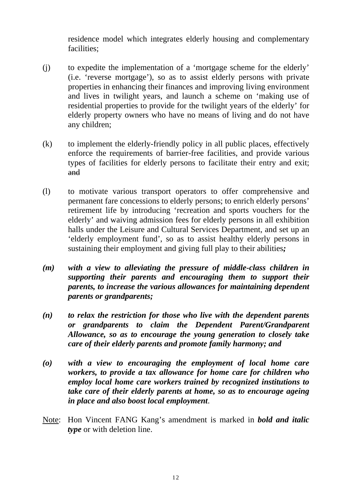residence model which integrates elderly housing and complementary facilities;

- (j) to expedite the implementation of a 'mortgage scheme for the elderly' (i.e. 'reverse mortgage'), so as to assist elderly persons with private properties in enhancing their finances and improving living environment and lives in twilight years, and launch a scheme on 'making use of residential properties to provide for the twilight years of the elderly' for elderly property owners who have no means of living and do not have any children;
- (k) to implement the elderly-friendly policy in all public places, effectively enforce the requirements of barrier-free facilities, and provide various types of facilities for elderly persons to facilitate their entry and exit; and
- (l) to motivate various transport operators to offer comprehensive and permanent fare concessions to elderly persons; to enrich elderly persons' retirement life by introducing 'recreation and sports vouchers for the elderly' and waiving admission fees for elderly persons in all exhibition halls under the Leisure and Cultural Services Department, and set up an 'elderly employment fund', so as to assist healthy elderly persons in sustaining their employment and giving full play to their abilities*;*
- *(m) with a view to alleviating the pressure of middle-class children in supporting their parents and encouraging them to support their parents, to increase the various allowances for maintaining dependent parents or grandparents;*
- *(n) to relax the restriction for those who live with the dependent parents or grandparents to claim the Dependent Parent/Grandparent Allowance, so as to encourage the young generation to closely take care of their elderly parents and promote family harmony; and*
- *(o) with a view to encouraging the employment of local home care workers, to provide a tax allowance for home care for children who employ local home care workers trained by recognized institutions to take care of their elderly parents at home, so as to encourage ageing in place and also boost local employment*.
- Note: Hon Vincent FANG Kang's amendment is marked in *bold and italic type* or with deletion line.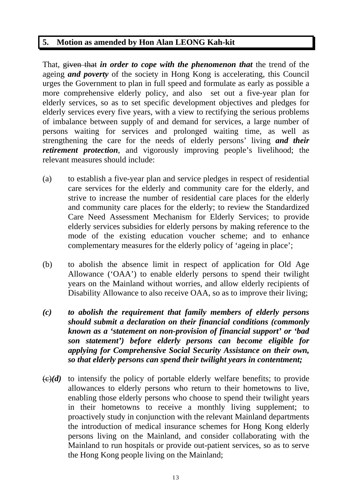## **5. Motion as amended by Hon Alan LEONG Kah-kit**

That, given that *in order to cope with the phenomenon that* the trend of the ageing *and poverty* of the society in Hong Kong is accelerating, this Council urges the Government to plan in full speed and formulate as early as possible a more comprehensive elderly policy, and also set out a five-year plan for elderly services, so as to set specific development objectives and pledges for elderly services every five years, with a view to rectifying the serious problems of imbalance between supply of and demand for services, a large number of persons waiting for services and prolonged waiting time, as well as strengthening the care for the needs of elderly persons' living *and their retirement protection*, and vigorously improving people's livelihood; the relevant measures should include:

- (a) to establish a five-year plan and service pledges in respect of residential care services for the elderly and community care for the elderly, and strive to increase the number of residential care places for the elderly and community care places for the elderly; to review the Standardized Care Need Assessment Mechanism for Elderly Services; to provide elderly services subsidies for elderly persons by making reference to the mode of the existing education voucher scheme; and to enhance complementary measures for the elderly policy of 'ageing in place';
- (b) to abolish the absence limit in respect of application for Old Age Allowance ('OAA') to enable elderly persons to spend their twilight years on the Mainland without worries, and allow elderly recipients of Disability Allowance to also receive OAA, so as to improve their living;
- *(c) to abolish the requirement that family members of elderly persons should submit a declaration on their financial conditions (commonly known as a 'statement on non-provision of financial support' or 'bad son statement') before elderly persons can become eligible for applying for Comprehensive Social Security Assistance on their own, so that elderly persons can spend their twilight years in contentment;*
- $\left(\frac{c}{c}\right)(d)$  to intensify the policy of portable elderly welfare benefits; to provide allowances to elderly persons who return to their hometowns to live, enabling those elderly persons who choose to spend their twilight years in their hometowns to receive a monthly living supplement; to proactively study in conjunction with the relevant Mainland departments the introduction of medical insurance schemes for Hong Kong elderly persons living on the Mainland, and consider collaborating with the Mainland to run hospitals or provide out-patient services, so as to serve the Hong Kong people living on the Mainland;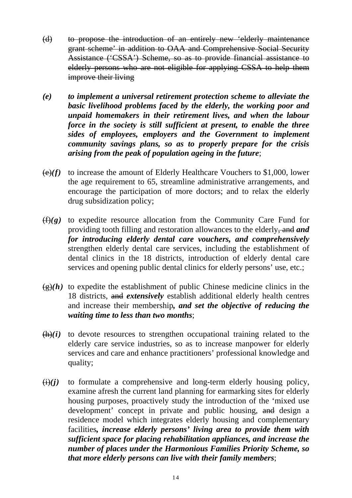- (d) to propose the introduction of an entirely new 'elderly maintenance grant scheme' in addition to OAA and Comprehensive Social Security Assistance ('CSSA') Scheme, so as to provide financial assistance to elderly persons who are not eligible for applying CSSA to help them improve their living
- *(e) to implement a universal retirement protection scheme to alleviate the basic livelihood problems faced by the elderly, the working poor and unpaid homemakers in their retirement lives, and when the labour force in the society is still sufficient at present, to enable the three sides of employees, employers and the Government to implement community savings plans, so as to properly prepare for the crisis arising from the peak of population ageing in the future*;
- $\left(\frac{e}{f}\right)$  to increase the amount of Elderly Healthcare Vouchers to \$1,000, lower the age requirement to 65, streamline administrative arrangements, and encourage the participation of more doctors; and to relax the elderly drug subsidization policy;
- $(f)(g)$  to expedite resource allocation from the Community Care Fund for providing tooth filling and restoration allowances to the elderly, and *and for introducing elderly dental care vouchers, and comprehensively*  strengthen elderly dental care services, including the establishment of dental clinics in the 18 districts, introduction of elderly dental care services and opening public dental clinics for elderly persons' use, etc.;
- $\left(\frac{\rho}{\epsilon}\right)(h)$  to expedite the establishment of public Chinese medicine clinics in the 18 districts, and *extensively* establish additional elderly health centres and increase their membership*, and set the objective of reducing the waiting time to less than two months*;
- $(h)(i)$  to devote resources to strengthen occupational training related to the elderly care service industries, so as to increase manpower for elderly services and care and enhance practitioners' professional knowledge and quality;
- $(i)(j)$  to formulate a comprehensive and long-term elderly housing policy, examine afresh the current land planning for earmarking sites for elderly housing purposes, proactively study the introduction of the 'mixed use development' concept in private and public housing, and design a residence model which integrates elderly housing and complementary facilities*, increase elderly persons' living area to provide them with sufficient space for placing rehabilitation appliances, and increase the number of places under the Harmonious Families Priority Scheme, so that more elderly persons can live with their family members*;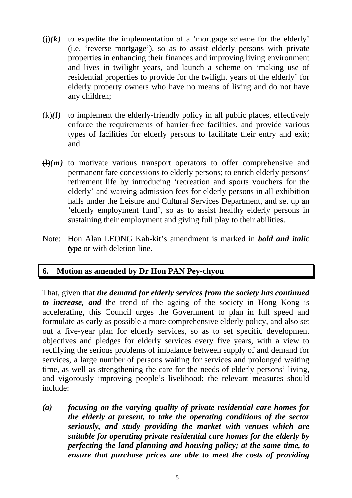- $\left(\frac{1}{i}\right)(k)$  to expedite the implementation of a 'mortgage scheme for the elderly' (i.e. 'reverse mortgage'), so as to assist elderly persons with private properties in enhancing their finances and improving living environment and lives in twilight years, and launch a scheme on 'making use of residential properties to provide for the twilight years of the elderly' for elderly property owners who have no means of living and do not have any children;
- $(k)(l)$  to implement the elderly-friendly policy in all public places, effectively enforce the requirements of barrier-free facilities, and provide various types of facilities for elderly persons to facilitate their entry and exit; and
- $\left(\frac{1}{m}\right)$  to motivate various transport operators to offer comprehensive and permanent fare concessions to elderly persons; to enrich elderly persons' retirement life by introducing 'recreation and sports vouchers for the elderly' and waiving admission fees for elderly persons in all exhibition halls under the Leisure and Cultural Services Department, and set up an 'elderly employment fund', so as to assist healthy elderly persons in sustaining their employment and giving full play to their abilities.
- Note: Hon Alan LEONG Kah-kit's amendment is marked in *bold and italic type* or with deletion line.

## **6. Motion as amended by Dr Hon PAN Pey-chyou**

That, given that *the demand for elderly services from the society has continued to increase, and* the trend of the ageing of the society in Hong Kong is accelerating, this Council urges the Government to plan in full speed and formulate as early as possible a more comprehensive elderly policy, and also set out a five-year plan for elderly services, so as to set specific development objectives and pledges for elderly services every five years, with a view to rectifying the serious problems of imbalance between supply of and demand for services, a large number of persons waiting for services and prolonged waiting time, as well as strengthening the care for the needs of elderly persons' living, and vigorously improving people's livelihood; the relevant measures should include:

*(a) focusing on the varying quality of private residential care homes for the elderly at present, to take the operating conditions of the sector seriously, and study providing the market with venues which are suitable for operating private residential care homes for the elderly by perfecting the land planning and housing policy; at the same time, to ensure that purchase prices are able to meet the costs of providing*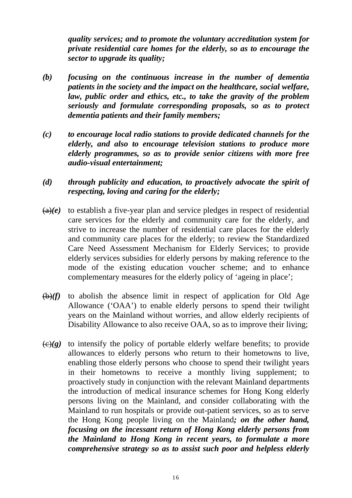*quality services; and to promote the voluntary accreditation system for private residential care homes for the elderly, so as to encourage the sector to upgrade its quality;*

- *(b) focusing on the continuous increase in the number of dementia patients in the society and the impact on the healthcare, social welfare, law, public order and ethics, etc., to take the gravity of the problem seriously and formulate corresponding proposals, so as to protect dementia patients and their family members;*
- *(c) to encourage local radio stations to provide dedicated channels for the elderly, and also to encourage television stations to produce more elderly programmes, so as to provide senior citizens with more free audio-visual entertainment;*
- *(d) through publicity and education, to proactively advocate the spirit of respecting, loving and caring for the elderly;*
- $(a)(e)$  to establish a five-year plan and service pledges in respect of residential care services for the elderly and community care for the elderly, and strive to increase the number of residential care places for the elderly and community care places for the elderly; to review the Standardized Care Need Assessment Mechanism for Elderly Services; to provide elderly services subsidies for elderly persons by making reference to the mode of the existing education voucher scheme; and to enhance complementary measures for the elderly policy of 'ageing in place';
- $(b)(f)$  to abolish the absence limit in respect of application for Old Age Allowance ('OAA') to enable elderly persons to spend their twilight years on the Mainland without worries, and allow elderly recipients of Disability Allowance to also receive OAA, so as to improve their living;
- $\left(\frac{\theta}{g}\right)$  to intensify the policy of portable elderly welfare benefits; to provide allowances to elderly persons who return to their hometowns to live, enabling those elderly persons who choose to spend their twilight years in their hometowns to receive a monthly living supplement; to proactively study in conjunction with the relevant Mainland departments the introduction of medical insurance schemes for Hong Kong elderly persons living on the Mainland, and consider collaborating with the Mainland to run hospitals or provide out-patient services, so as to serve the Hong Kong people living on the Mainland*; on the other hand, focusing on the incessant return of Hong Kong elderly persons from the Mainland to Hong Kong in recent years, to formulate a more comprehensive strategy so as to assist such poor and helpless elderly*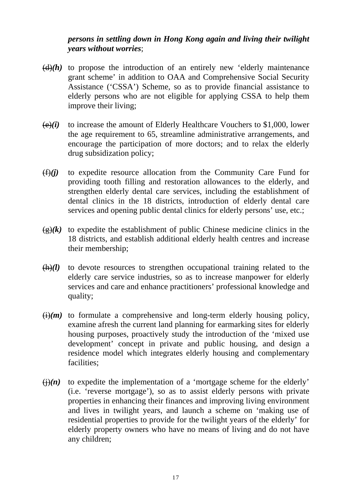### *persons in settling down in Hong Kong again and living their twilight years without worries*;

- $\left(\frac{d}{d}\right)$  to propose the introduction of an entirely new 'elderly maintenance grant scheme' in addition to OAA and Comprehensive Social Security Assistance ('CSSA') Scheme, so as to provide financial assistance to elderly persons who are not eligible for applying CSSA to help them improve their living;
- $(e)(i)$  to increase the amount of Elderly Healthcare Vouchers to \$1,000, lower the age requirement to 65, streamline administrative arrangements, and encourage the participation of more doctors; and to relax the elderly drug subsidization policy;
- $(f)(i)$  to expedite resource allocation from the Community Care Fund for providing tooth filling and restoration allowances to the elderly, and strengthen elderly dental care services, including the establishment of dental clinics in the 18 districts, introduction of elderly dental care services and opening public dental clinics for elderly persons' use, etc.;
- $\left(\frac{g}{g}\right)(k)$  to expedite the establishment of public Chinese medicine clinics in the 18 districts, and establish additional elderly health centres and increase their membership;
- $(h)(l)$  to devote resources to strengthen occupational training related to the elderly care service industries, so as to increase manpower for elderly services and care and enhance practitioners' professional knowledge and quality;
- $\overline{(i)}(m)$  to formulate a comprehensive and long-term elderly housing policy, examine afresh the current land planning for earmarking sites for elderly housing purposes, proactively study the introduction of the 'mixed use development' concept in private and public housing, and design a residence model which integrates elderly housing and complementary facilities;
- $\overrightarrow{(h)}(n)$  to expedite the implementation of a 'mortgage scheme for the elderly' (i.e. 'reverse mortgage'), so as to assist elderly persons with private properties in enhancing their finances and improving living environment and lives in twilight years, and launch a scheme on 'making use of residential properties to provide for the twilight years of the elderly' for elderly property owners who have no means of living and do not have any children;